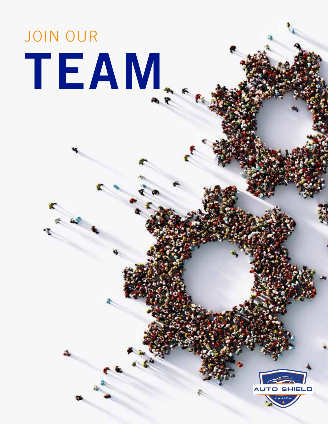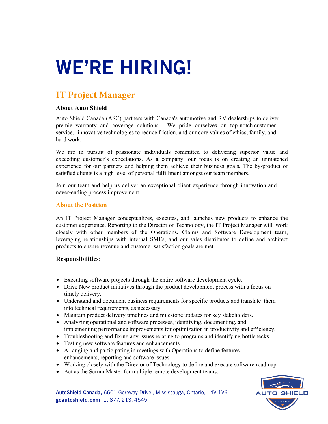# WE'RE HIRING!

# **IT Project Manager**

### **About Auto Shield**

Auto Shield Canada (ASC) partners with Canada's automotive and RV dealerships to deliver premier warranty and coverage solutions. We pride ourselves on top-notch customer service, innovative technologies to reduce friction, and our core values of ethics, family, and hard work.

We are in pursuit of passionate individuals committed to delivering superior value and exceeding customer's expectations. As a company, our focus is on creating an unmatched experience for our partners and helping them achieve their business goals. The by-product of satisfied clients is a high level of personal fulfillment amongst our team members.

Join our team and help us deliver an exceptional client experience through innovation and never-ending process improvement

#### **About the Position**

An IT Project Manager conceptualizes, executes, and launches new products to enhance the customer experience. Reporting to the Director of Technology, the IT Project Manager will work closely with other members of the Operations, Claims and Software Development team, leveraging relationships with internal SMEs, and our sales distributor to define and architect products to ensure revenue and customer satisfaction goals are met.

### **Responsibilities:**

- Executing software projects through the entire software development cycle.
- Drive New product initiatives through the product development process with a focus on timely delivery.
- Understand and document business requirements for specific products and translate them into technical requirements, as necessary.
- Maintain product delivery timelines and milestone updates for key stakeholders.
- Analyzing operational and software processes, identifying, documenting, and implementing performance improvements for optimization in productivity and efficiency.
- Troubleshooting and fixing any issues relating to programs and identifying bottlenecks
- Testing new software features and enhancements.
- Arranging and participating in meetings with Operations to define features, enhancements, reporting and software issues.
- Working closely with the Director of Technology to define and execute software roadmap.
- Act as the Scrum Master for multiple remote development teams.